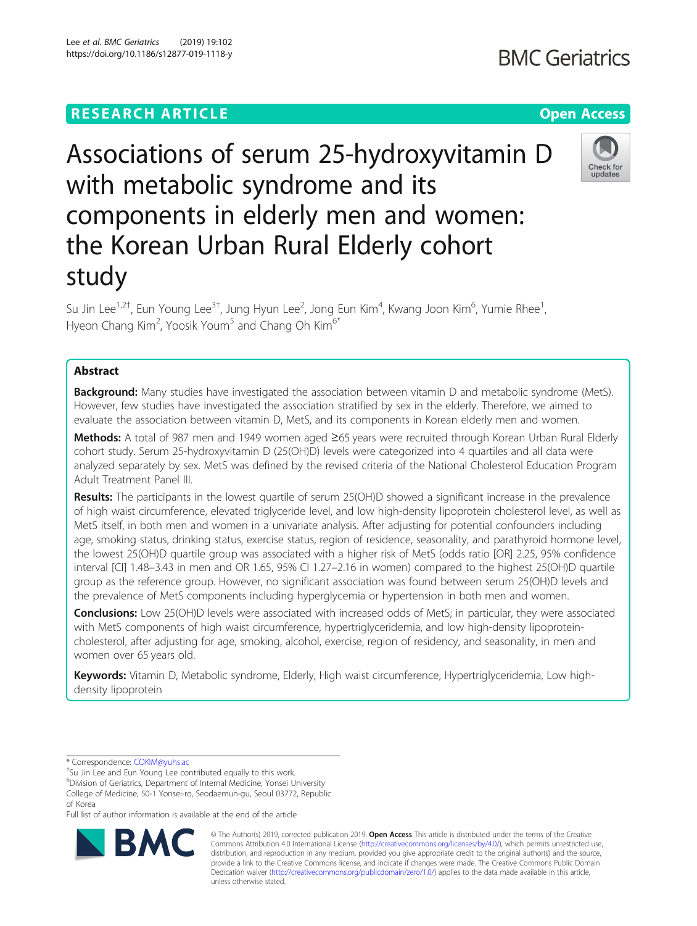# **RESEARCH ARTICLE Example 2018 12:30 THE Open Access**

# Associations of serum 25-hydroxyvitamin D with metabolic syndrome and its components in elderly men and women: the Korean Urban Rural Elderly cohort study

Su Jin Lee<sup>1,2†</sup>, Eun Young Lee<sup>3†</sup>, Jung Hyun Lee<sup>2</sup>, Jong Eun Kim<sup>4</sup>, Kwang Joon Kim<sup>6</sup>, Yumie Rhee<sup>1</sup> , Hyeon Chang Kim<sup>2</sup>, Yoosik Youm<sup>5</sup> and Chang Oh Kim<sup>6\*</sup>

# Abstract

**Background:** Many studies have investigated the association between vitamin D and metabolic syndrome (MetS). However, few studies have investigated the association stratified by sex in the elderly. Therefore, we aimed to evaluate the association between vitamin D, MetS, and its components in Korean elderly men and women.

Methods: A total of 987 men and 1949 women aged ≥65 years were recruited through Korean Urban Rural Elderly cohort study. Serum 25-hydroxyvitamin D (25(OH)D) levels were categorized into 4 quartiles and all data were analyzed separately by sex. MetS was defined by the revised criteria of the National Cholesterol Education Program Adult Treatment Panel III.

Results: The participants in the lowest quartile of serum 25(OH)D showed a significant increase in the prevalence of high waist circumference, elevated triglyceride level, and low high-density lipoprotein cholesterol level, as well as MetS itself, in both men and women in a univariate analysis. After adjusting for potential confounders including age, smoking status, drinking status, exercise status, region of residence, seasonality, and parathyroid hormone level, the lowest 25(OH)D quartile group was associated with a higher risk of MetS (odds ratio [OR] 2.25, 95% confidence interval [CI] 1.48–3.43 in men and OR 1.65, 95% CI 1.27–2.16 in women) compared to the highest 25(OH)D quartile group as the reference group. However, no significant association was found between serum 25(OH)D levels and the prevalence of MetS components including hyperglycemia or hypertension in both men and women.

Conclusions: Low 25(OH)D levels were associated with increased odds of MetS; in particular, they were associated with MetS components of high waist circumference, hypertriglyceridemia, and low high-density lipoproteincholesterol, after adjusting for age, smoking, alcohol, exercise, region of residency, and seasonality, in men and women over 65 years old.

Keywords: Vitamin D, Metabolic syndrome, Elderly, High waist circumference, Hypertriglyceridemia, Low highdensity lipoprotein

unless otherwise stated.



© The Author(s) 2019, corrected publication 2019. Open Access This article is distributed under the terms of the Creative Commons Attribution 4.0 International License ([http://creativecommons.org/licenses/by/4.0/\)](http://creativecommons.org/licenses/by/4.0/), which permits unrestricted use, distribution, and reproduction in any medium, provided you give appropriate credit to the original author(s) and the source, provide a link to the Creative Commons license, and indicate if changes were made. The Creative Commons Public Domain Dedication waiver [\(http://creativecommons.org/publicdomain/zero/1.0/](http://creativecommons.org/publicdomain/zero/1.0/)) applies to the data made available in this article,





Check for undates

<sup>\*</sup> Correspondence: [COKIM@yuhs.ac](mailto:COKIM@yuhs.ac) †

<sup>&</sup>lt;sup>+</sup>Su Jin Lee and Eun Young Lee contributed equally to this work.

<sup>6</sup> Division of Geriatrics, Department of Internal Medicine, Yonsei University College of Medicine, 50-1 Yonsei-ro, Seodaemun-gu, Seoul 03772, Republic of Korea

Full list of author information is available at the end of the article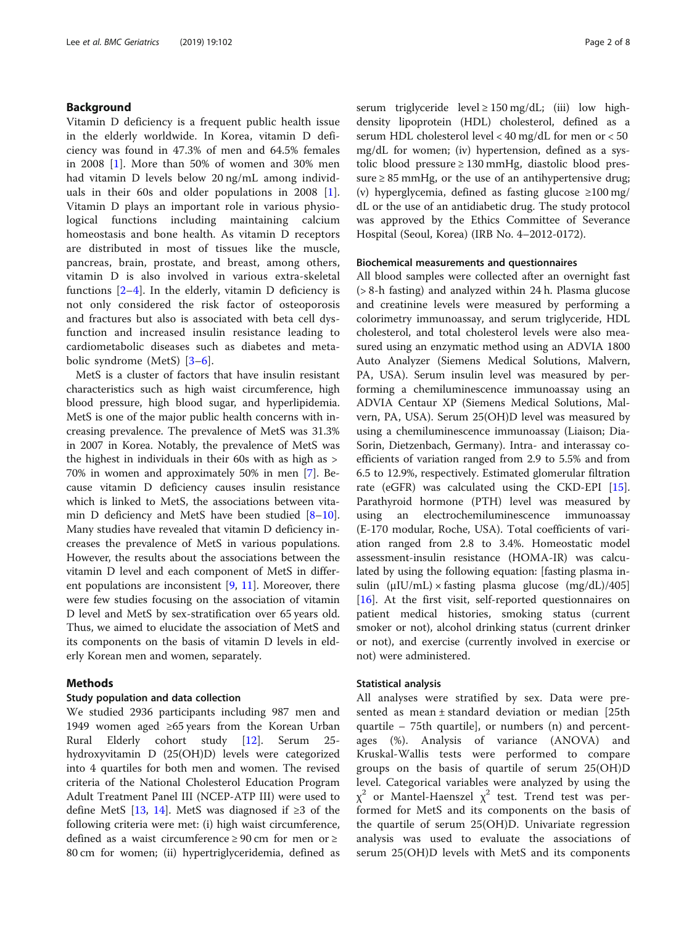# Background

Vitamin D deficiency is a frequent public health issue in the elderly worldwide. In Korea, vitamin D deficiency was found in 47.3% of men and 64.5% females in 2008 [[1](#page-7-0)]. More than 50% of women and 30% men had vitamin D levels below 20 ng/mL among individuals in their 60s and older populations in 2008 [\[1](#page-7-0)]. Vitamin D plays an important role in various physiological functions including maintaining calcium homeostasis and bone health. As vitamin D receptors are distributed in most of tissues like the muscle, pancreas, brain, prostate, and breast, among others, vitamin D is also involved in various extra-skeletal functions  $[2-4]$  $[2-4]$  $[2-4]$  $[2-4]$ . In the elderly, vitamin D deficiency is not only considered the risk factor of osteoporosis and fractures but also is associated with beta cell dysfunction and increased insulin resistance leading to cardiometabolic diseases such as diabetes and metabolic syndrome (MetS) [\[3](#page-7-0)–[6](#page-7-0)].

MetS is a cluster of factors that have insulin resistant characteristics such as high waist circumference, high blood pressure, high blood sugar, and hyperlipidemia. MetS is one of the major public health concerns with increasing prevalence. The prevalence of MetS was 31.3% in 2007 in Korea. Notably, the prevalence of MetS was the highest in individuals in their 60s with as high as > 70% in women and approximately 50% in men [\[7](#page-7-0)]. Because vitamin D deficiency causes insulin resistance which is linked to MetS, the associations between vitamin D deficiency and MetS have been studied  $[8-10]$  $[8-10]$  $[8-10]$  $[8-10]$  $[8-10]$ . Many studies have revealed that vitamin D deficiency increases the prevalence of MetS in various populations. However, the results about the associations between the vitamin D level and each component of MetS in different populations are inconsistent  $[9, 11]$  $[9, 11]$  $[9, 11]$  $[9, 11]$  $[9, 11]$ . Moreover, there were few studies focusing on the association of vitamin D level and MetS by sex-stratification over 65 years old. Thus, we aimed to elucidate the association of MetS and its components on the basis of vitamin D levels in elderly Korean men and women, separately.

# Methods

# Study population and data collection

We studied 2936 participants including 987 men and 1949 women aged ≥65 years from the Korean Urban Rural Elderly cohort study [[12\]](#page-7-0). Serum 25 hydroxyvitamin D (25(OH)D) levels were categorized into 4 quartiles for both men and women. The revised criteria of the National Cholesterol Education Program Adult Treatment Panel III (NCEP-ATP III) were used to define MetS [[13,](#page-7-0) [14\]](#page-7-0). MetS was diagnosed if ≥3 of the following criteria were met: (i) high waist circumference, defined as a waist circumference ≥ 90 cm for men or ≥ 80 cm for women; (ii) hypertriglyceridemia, defined as serum triglyceride level  $\geq 150$  mg/dL; (iii) low highdensity lipoprotein (HDL) cholesterol, defined as a serum HDL cholesterol level < 40 mg/dL for men or < 50 mg/dL for women; (iv) hypertension, defined as a systolic blood pressure ≥ 130 mmHg, diastolic blood pressure  $\geq$  85 mmHg, or the use of an antihypertensive drug; (v) hyperglycemia, defined as fasting glucose ≥100 mg/ dL or the use of an antidiabetic drug. The study protocol was approved by the Ethics Committee of Severance Hospital (Seoul, Korea) (IRB No. 4–2012-0172).

# Biochemical measurements and questionnaires

All blood samples were collected after an overnight fast (> 8-h fasting) and analyzed within 24 h. Plasma glucose and creatinine levels were measured by performing a colorimetry immunoassay, and serum triglyceride, HDL cholesterol, and total cholesterol levels were also measured using an enzymatic method using an ADVIA 1800 Auto Analyzer (Siemens Medical Solutions, Malvern, PA, USA). Serum insulin level was measured by performing a chemiluminescence immunoassay using an ADVIA Centaur XP (Siemens Medical Solutions, Malvern, PA, USA). Serum 25(OH)D level was measured by using a chemiluminescence immunoassay (Liaison; Dia-Sorin, Dietzenbach, Germany). Intra- and interassay coefficients of variation ranged from 2.9 to 5.5% and from 6.5 to 12.9%, respectively. Estimated glomerular filtration rate (eGFR) was calculated using the CKD-EPI  $[15]$  $[15]$ . Parathyroid hormone (PTH) level was measured by using an electrochemiluminescence immunoassay (E-170 modular, Roche, USA). Total coefficients of variation ranged from 2.8 to 3.4%. Homeostatic model assessment-insulin resistance (HOMA-IR) was calculated by using the following equation: [fasting plasma insulin  $(\mu I U/mL) \times$  fasting plasma glucose  $(mg/dL)/405$ [[16\]](#page-7-0). At the first visit, self-reported questionnaires on patient medical histories, smoking status (current smoker or not), alcohol drinking status (current drinker or not), and exercise (currently involved in exercise or not) were administered.

# Statistical analysis

All analyses were stratified by sex. Data were presented as mean ± standard deviation or median [25th quartile – 75th quartile], or numbers (n) and percentages (%). Analysis of variance (ANOVA) and Kruskal-Wallis tests were performed to compare groups on the basis of quartile of serum 25(OH)D level. Categorical variables were analyzed by using the  $\chi^2$  or Mantel-Haenszel  $\chi^2$  test. Trend test was performed for MetS and its components on the basis of the quartile of serum 25(OH)D. Univariate regression analysis was used to evaluate the associations of serum 25(OH)D levels with MetS and its components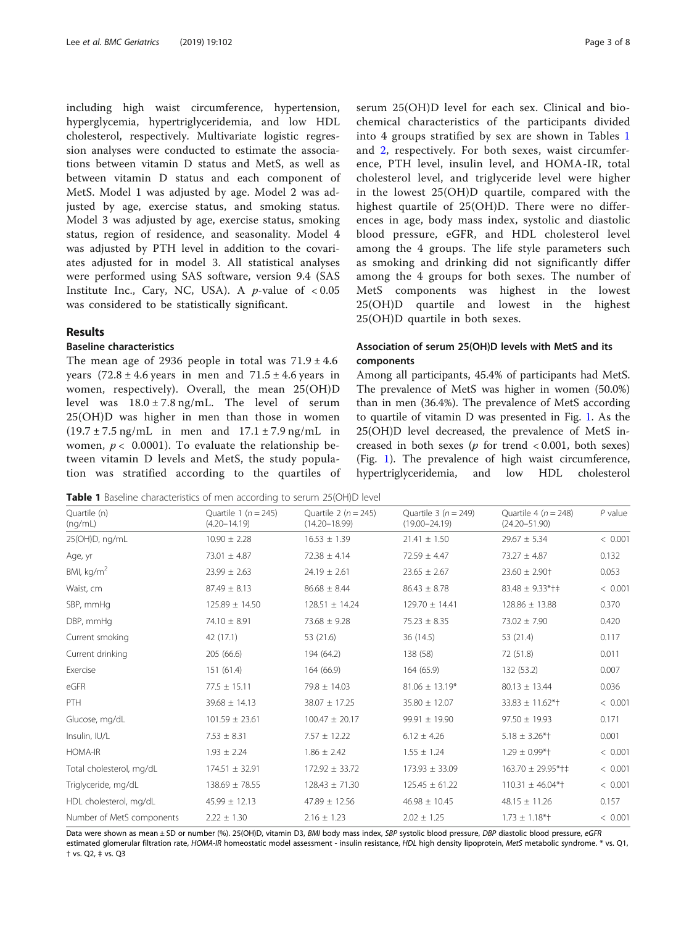including high waist circumference, hypertension, hyperglycemia, hypertriglyceridemia, and low HDL cholesterol, respectively. Multivariate logistic regression analyses were conducted to estimate the associations between vitamin D status and MetS, as well as between vitamin D status and each component of MetS. Model 1 was adjusted by age. Model 2 was adjusted by age, exercise status, and smoking status. Model 3 was adjusted by age, exercise status, smoking status, region of residence, and seasonality. Model 4 was adjusted by PTH level in addition to the covariates adjusted for in model 3. All statistical analyses were performed using SAS software, version 9.4 (SAS Institute Inc., Cary, NC, USA). A  $p$ -value of <0.05 was considered to be statistically significant.

# Results

# Baseline characteristics

The mean age of 2936 people in total was  $71.9 \pm 4.6$ years  $(72.8 \pm 4.6 \text{ years}$  in men and  $71.5 \pm 4.6 \text{ years}$  in women, respectively). Overall, the mean 25(OH)D level was  $18.0 \pm 7.8$  ng/mL. The level of serum 25(OH)D was higher in men than those in women  $(19.7 \pm 7.5 \text{ ng/mL}$  in men and  $17.1 \pm 7.9 \text{ ng/mL}$  in women,  $p < 0.0001$ ). To evaluate the relationship between vitamin D levels and MetS, the study population was stratified according to the quartiles of serum 25(OH)D level for each sex. Clinical and biochemical characteristics of the participants divided into 4 groups stratified by sex are shown in Tables 1 and [2](#page-3-0), respectively. For both sexes, waist circumference, PTH level, insulin level, and HOMA-IR, total cholesterol level, and triglyceride level were higher in the lowest 25(OH)D quartile, compared with the highest quartile of 25(OH)D. There were no differences in age, body mass index, systolic and diastolic blood pressure, eGFR, and HDL cholesterol level among the 4 groups. The life style parameters such as smoking and drinking did not significantly differ among the 4 groups for both sexes. The number of MetS components was highest in the lowest 25(OH)D quartile and lowest in the highest 25(OH)D quartile in both sexes.

# Association of serum 25(OH)D levels with MetS and its components

Among all participants, 45.4% of participants had MetS. The prevalence of MetS was higher in women (50.0%) than in men (36.4%). The prevalence of MetS according to quartile of vitamin D was presented in Fig. [1](#page-3-0). As the 25(OH)D level decreased, the prevalence of MetS increased in both sexes ( $p$  for trend < 0.001, both sexes) (Fig. [1\)](#page-3-0). The prevalence of high waist circumference, hypertriglyceridemia, and low HDL cholesterol

Table 1 Baseline characteristics of men according to serum 25(OH)D level

| Quartile (n)<br>(nq/mL)   | Quartile 1 ( $n = 245$ )<br>$(4.20 - 14.19)$ | Quartile 2 ( $n = 245$ )<br>$(14.20 - 18.99)$ | Quartile 3 ( $n = 249$ )<br>$(19.00 - 24.19)$ | Quartile 4 ( $n = 248$ )<br>$(24.20 - 51.90)$ | $P$ value |
|---------------------------|----------------------------------------------|-----------------------------------------------|-----------------------------------------------|-----------------------------------------------|-----------|
| 25(OH)D, ng/mL            | $10.90 \pm 2.28$                             | $16.53 \pm 1.39$                              | $21.41 \pm 1.50$                              | $29.67 \pm 5.34$                              | < 0.001   |
| Age, yr                   | $73.01 \pm 4.87$                             | $72.38 \pm 4.14$                              | $72.59 \pm 4.47$                              | $73.27 \pm 4.87$                              | 0.132     |
| BMI, kg/m <sup>2</sup>    | $23.99 \pm 2.63$                             | $24.19 \pm 2.61$                              | $23.65 \pm 2.67$                              | $23.60 \pm 2.90$ †                            | 0.053     |
| Waist, cm                 | $87.49 \pm 8.13$                             | $86.68 \pm 8.44$                              | $86.43 \pm 8.78$                              | $83.48 \pm 9.33$ *†‡                          | < 0.001   |
| SBP, mmHq                 | $125.89 \pm 14.50$                           | $128.51 \pm 14.24$                            | $129.70 \pm 14.41$                            | $128.86 \pm 13.88$                            | 0.370     |
| DBP, mmHg                 | $74.10 \pm 8.91$                             | $73.68 \pm 9.28$                              | $75.23 \pm 8.35$                              | $73.02 \pm 7.90$                              | 0.420     |
| Current smoking           | 42 (17.1)                                    | 53 (21.6)                                     | 36 (14.5)                                     | 53 (21.4)                                     | 0.117     |
| Current drinking          | 205 (66.6)                                   | 194 (64.2)                                    | 138 (58)                                      | 72 (51.8)                                     | 0.011     |
| Exercise                  | 151 (61.4)                                   | 164 (66.9)                                    | 164 (65.9)                                    | 132 (53.2)                                    | 0.007     |
| eGFR                      | $77.5 \pm 15.11$                             | $79.8 \pm 14.03$                              | $81.06 \pm 13.19*$                            | $80.13 \pm 13.44$                             | 0.036     |
| PTH                       | $39.68 \pm 14.13$                            | $38.07 \pm 17.25$                             | $35.80 \pm 12.07$                             | $33.83 \pm 11.62^{*}$                         | < 0.001   |
| Glucose, mg/dL            | $101.59 \pm 23.61$                           | $100.47 \pm 20.17$                            | $99.91 \pm 19.90$                             | $97.50 \pm 19.93$                             | 0.171     |
| Insulin, IU/L             | $7.53 \pm 8.31$                              | $7.57 \pm 12.22$                              | $6.12 \pm 4.26$                               | $5.18 \pm 3.26$ *†                            | 0.001     |
| <b>HOMA-IR</b>            | $1.93 \pm 2.24$                              | $1.86 \pm 2.42$                               | $1.55 \pm 1.24$                               | $1.29 \pm 0.99$ *†                            | < 0.001   |
| Total cholesterol, mg/dL  | $174.51 \pm 32.91$                           | $172.92 \pm 33.72$                            | $173.93 \pm 33.09$                            | 163.70 ± 29.95*†‡                             | < 0.001   |
| Triglyceride, mg/dL       | $138.69 \pm 78.55$                           | $128.43 \pm 71.30$                            | $125.45 \pm 61.22$                            | $110.31 \pm 46.04$ <sup>*</sup> t             | < 0.001   |
| HDL cholesterol, mg/dL    | $45.99 \pm 12.13$                            | $47.89 \pm 12.56$                             | $46.98 \pm 10.45$                             | $48.15 \pm 11.26$                             | 0.157     |
| Number of MetS components | $2.22 \pm 1.30$                              | $2.16 \pm 1.23$                               | $2.02 \pm 1.25$                               | $1.73 \pm 1.18$ *†                            | < 0.001   |

Data were shown as mean ± SD or number (%). 25(OH)D, vitamin D3, BMI body mass index, SBP systolic blood pressure, DBP diastolic blood pressure, eGFR estimated glomerular filtration rate, HOMA-IR homeostatic model assessment - insulin resistance, HDL high density lipoprotein, MetS metabolic syndrome. \* vs. Q1, † vs. Q2, ‡ vs. Q3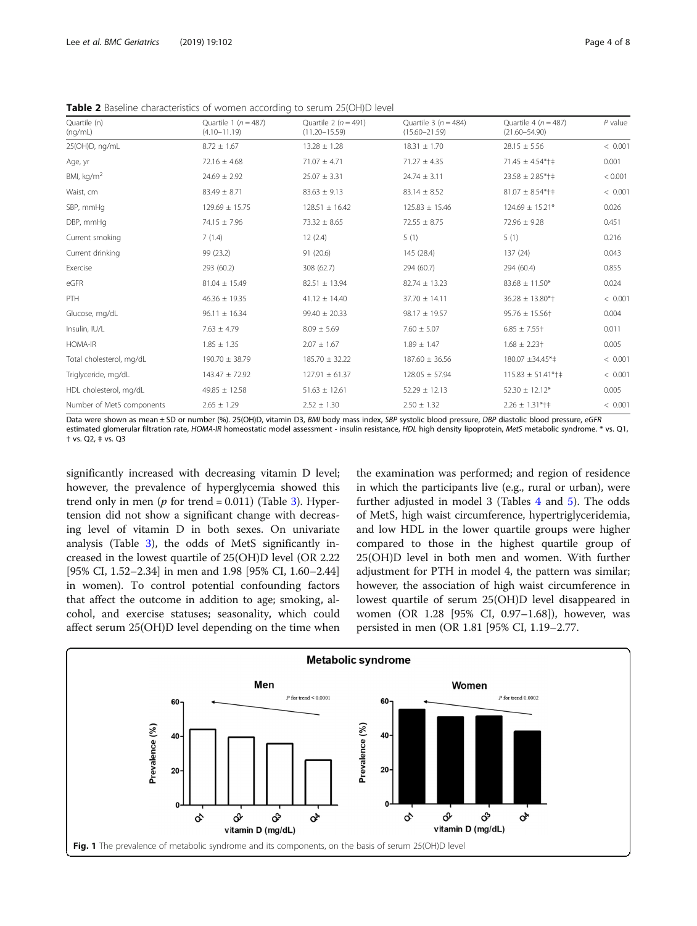<span id="page-3-0"></span>Table 2 Baseline characteristics of women according to serum 25(OH)D level

| Quartile (n)<br>(ng/mL)   | Quartile 1 ( $n = 487$ )<br>$(4.10 - 11.19)$ | Quartile 2 ( $n = 491$ )<br>$(11.20 - 15.59)$ | Quartile $3(n = 484)$<br>$(15.60 - 21.59)$ | Quartile 4 ( $n = 487$ )<br>$(21.60 - 54.90)$ | $P$ value |
|---------------------------|----------------------------------------------|-----------------------------------------------|--------------------------------------------|-----------------------------------------------|-----------|
| 25(OH)D, ng/mL            | $8.72 \pm 1.67$                              | $13.28 \pm 1.28$                              | $18.31 \pm 1.70$                           | $28.15 \pm 5.56$                              | < 0.001   |
| Age, yr                   | $72.16 \pm 4.68$                             | $71.07 \pm 4.71$                              | $71.27 \pm 4.35$                           | $71.45 \pm 4.54$ *†‡                          | 0.001     |
| BMI, $kg/m2$              | $24.69 \pm 2.92$                             | $25.07 \pm 3.31$                              | $24.74 \pm 3.11$                           | $23.58 \pm 2.85$ *†‡                          | < 0.001   |
| Waist, cm                 | $83.49 \pm 8.71$                             | $83.63 \pm 9.13$                              | $83.14 \pm 8.52$                           | $81.07 \pm 8.54$ *†‡                          | < 0.001   |
| SBP, mmHq                 | $129.69 \pm 15.75$                           | $128.51 \pm 16.42$                            | $125.83 \pm 15.46$                         | $124.69 \pm 15.21*$                           | 0.026     |
| DBP, mmHg                 | $74.15 \pm 7.96$                             | $73.32 \pm 8.65$                              | $72.55 \pm 8.75$                           | $72.96 \pm 9.28$                              | 0.451     |
| Current smoking           | 7(1.4)                                       | 12(2.4)                                       | 5(1)                                       | 5(1)                                          | 0.216     |
| Current drinking          | 99 (23.2)                                    | 91 (20.6)                                     | 145 (28.4)                                 | 137 (24)                                      | 0.043     |
| Exercise                  | 293 (60.2)                                   | 308 (62.7)                                    | 294 (60.7)                                 | 294 (60.4)                                    | 0.855     |
| eGFR                      | $81.04 \pm 15.49$                            | $82.51 \pm 13.94$                             | $82.74 \pm 13.23$                          | $83.68 \pm 11.50*$                            | 0.024     |
| <b>PTH</b>                | $46.36 \pm 19.35$                            | $41.12 \pm 14.40$                             | $37.70 \pm 14.11$                          | $36.28 \pm 13.80*$                            | < 0.001   |
| Glucose, mg/dL            | $96.11 \pm 16.34$                            | $99.40 \pm 20.33$                             | $98.17 \pm 19.57$                          | $95.76 \pm 15.56$ +                           | 0.004     |
| Insulin, IU/L             | $7.63 \pm 4.79$                              | $8.09 \pm 5.69$                               | $7.60 \pm 5.07$                            | $6.85 \pm 7.55$ +                             | 0.011     |
| HOMA-IR                   | $1.85 \pm 1.35$                              | $2.07 \pm 1.67$                               | $1.89 \pm 1.47$                            | $1.68 \pm 2.23$ †                             | 0.005     |
| Total cholesterol, mg/dL  | 190.70 ± 38.79                               | $185.70 \pm 32.22$                            | $187.60 \pm 36.56$                         | 180.07 ±34.45*‡                               | < 0.001   |
| Triglyceride, mg/dL       | 143.47 ± 72.92                               | $127.91 \pm 61.37$                            | $128.05 \pm 57.94$                         | $115.83 \pm 51.41$ *†‡                        | < 0.001   |
| HDL cholesterol, mg/dL    | $49.85 \pm 12.58$                            | $51.63 \pm 12.61$                             | $52.29 \pm 12.13$                          | $52.30 \pm 12.12*$                            | 0.005     |
| Number of MetS components | $2.65 \pm 1.29$                              | $2.52 \pm 1.30$                               | $2.50 \pm 1.32$                            | $2.26 \pm 1.31$ *†‡                           | < 0.001   |

Data were shown as mean ± SD or number (%). 25(OH)D, vitamin D3, BMI body mass index, SBP systolic blood pressure, DBP diastolic blood pressure, eGFR estimated glomerular filtration rate, HOMA-IR homeostatic model assessment - insulin resistance, HDL high density lipoprotein, MetS metabolic syndrome. \* vs. Q1, † vs. Q2, ‡ vs. Q3

significantly increased with decreasing vitamin D level; however, the prevalence of hyperglycemia showed this trend only in men ( $p$  for trend = 0.011) (Table [3](#page-4-0)). Hypertension did not show a significant change with decreasing level of vitamin D in both sexes. On univariate analysis (Table [3](#page-4-0)), the odds of MetS significantly increased in the lowest quartile of 25(OH)D level (OR 2.22 [95% CI, 1.52–2.34] in men and 1.98 [95% CI, 1.60–2.44] in women). To control potential confounding factors that affect the outcome in addition to age; smoking, alcohol, and exercise statuses; seasonality, which could affect serum 25(OH)D level depending on the time when

the examination was performed; and region of residence in which the participants live (e.g., rural or urban), were further adjusted in model 3 (Tables [4](#page-5-0) and [5](#page-6-0)). The odds of MetS, high waist circumference, hypertriglyceridemia, and low HDL in the lower quartile groups were higher compared to those in the highest quartile group of 25(OH)D level in both men and women. With further adjustment for PTH in model 4, the pattern was similar; however, the association of high waist circumference in lowest quartile of serum 25(OH)D level disappeared in women (OR 1.28 [95% CI, 0.97–1.68]), however, was persisted in men (OR 1.81 [95% CI, 1.19–2.77.

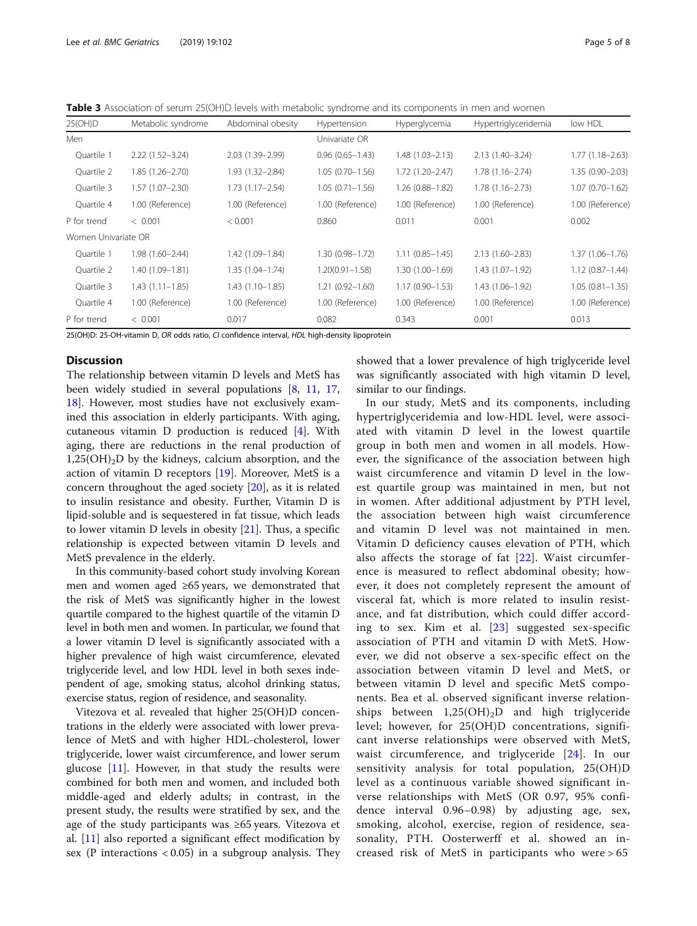<span id="page-4-0"></span>Table 3 Association of serum 25(OH)D levels with metabolic syndrome and its components in men and women

| 25(OH)D             | Metabolic syndrome  | Abdominal obesity   | Hypertension        | Hyperglycemia       | Hypertriglyceridemia | low HDL             |
|---------------------|---------------------|---------------------|---------------------|---------------------|----------------------|---------------------|
| Men                 |                     |                     | Univariate OR       |                     |                      |                     |
| Ouartile 1          | $2.22(1.52 - 3.24)$ | 2.03 (1.39-2.99)    | $0.96(0.65 - 1.43)$ | $1.48(1.03 - 2.13)$ | $2.13(1.40 - 3.24)$  | $1.77(1.18 - 2.63)$ |
| Quartile 2          | $1.85(1.26 - 2.70)$ | 1.93 (1.32-2.84)    | $1.05(0.70 - 1.56)$ | $1.72(1.20 - 2.47)$ | $1.78(1.16 - 2.74)$  | 1.35 (0.90-2.03)    |
| Quartile 3          | $1.57(1.07 - 2.30)$ | $1.73(1.17 - 2.54)$ | $1.05(0.71 - 1.56)$ | $1.26(0.88 - 1.82)$ | $1.78(1.16 - 2.73)$  | $1.07(0.70 - 1.62)$ |
| Ouartile 4          | 1.00 (Reference)    | 1.00 (Reference)    | 1.00 (Reference)    | 1.00 (Reference)    | 1.00 (Reference)     | 1.00 (Reference)    |
| P for trend         | < 0.001             | < 0.001             | 0.860               | 0.011               | 0.001                | 0.002               |
| Women Univariate OR |                     |                     |                     |                     |                      |                     |
| Ouartile 1          | 1.98 (1.60-2.44)    | 1.42 (1.09-1.84)    | 1.30 (0.98-1.72)    | $1.11(0.85 - 1.45)$ | $2.13(1.60 - 2.83)$  | 1.37 (1.06-1.76)    |
| Quartile 2          | 1.40 (1.09-1.81)    | $1.35(1.04 - 1.74)$ | $1.20(0.91 - 1.58)$ | $1.30(1.00 - 1.69)$ | $1.43(1.07 - 1.92)$  | $1.12(0.87 - 1.44)$ |
| Ouartile 3          | $1.43(1.11 - 1.85)$ | $1.43(1.10-1.85)$   | $1.21(0.92 - 1.60)$ | $1.17(0.90 - 1.53)$ | 1.43 (1.06-1.92)     | $1.05(0.81 - 1.35)$ |
| Ouartile 4          | 1.00 (Reference)    | 1.00 (Reference)    | 1.00 (Reference)    | 1.00 (Reference)    | 1.00 (Reference)     | 1.00 (Reference)    |
| P for trend         | < 0.001             | 0.017               | 0.082               | 0.343               | 0.001                | 0.013               |

25(OH)D: 25-OH-vitamin D, OR odds ratio, CI confidence interval, HDL high-density lipoprotein

# **Discussion**

The relationship between vitamin D levels and MetS has been widely studied in several populations [\[8](#page-7-0), [11](#page-7-0), [17](#page-7-0), [18\]](#page-7-0). However, most studies have not exclusively examined this association in elderly participants. With aging, cutaneous vitamin D production is reduced [\[4](#page-7-0)]. With aging, there are reductions in the renal production of  $1,25(OH)_{2}D$  by the kidneys, calcium absorption, and the action of vitamin D receptors [\[19\]](#page-7-0). Moreover, MetS is a concern throughout the aged society [\[20](#page-7-0)], as it is related to insulin resistance and obesity. Further, Vitamin D is lipid-soluble and is sequestered in fat tissue, which leads to lower vitamin D levels in obesity [[21](#page-7-0)]. Thus, a specific relationship is expected between vitamin D levels and MetS prevalence in the elderly.

In this community-based cohort study involving Korean men and women aged ≥65 years, we demonstrated that the risk of MetS was significantly higher in the lowest quartile compared to the highest quartile of the vitamin D level in both men and women. In particular, we found that a lower vitamin D level is significantly associated with a higher prevalence of high waist circumference, elevated triglyceride level, and low HDL level in both sexes independent of age, smoking status, alcohol drinking status, exercise status, region of residence, and seasonality.

Vitezova et al. revealed that higher 25(OH)D concentrations in the elderly were associated with lower prevalence of MetS and with higher HDL-cholesterol, lower triglyceride, lower waist circumference, and lower serum glucose  $[11]$  $[11]$ . However, in that study the results were combined for both men and women, and included both middle-aged and elderly adults; in contrast, in the present study, the results were stratified by sex, and the age of the study participants was ≥65 years. Vitezova et al. [[11](#page-7-0)] also reported a significant effect modification by sex (P interactions  $< 0.05$ ) in a subgroup analysis. They showed that a lower prevalence of high triglyceride level was significantly associated with high vitamin D level, similar to our findings.

In our study, MetS and its components, including hypertriglyceridemia and low-HDL level, were associated with vitamin D level in the lowest quartile group in both men and women in all models. However, the significance of the association between high waist circumference and vitamin D level in the lowest quartile group was maintained in men, but not in women. After additional adjustment by PTH level, the association between high waist circumference and vitamin D level was not maintained in men. Vitamin D deficiency causes elevation of PTH, which also affects the storage of fat [[22](#page-7-0)]. Waist circumference is measured to reflect abdominal obesity; however, it does not completely represent the amount of visceral fat, which is more related to insulin resistance, and fat distribution, which could differ according to sex. Kim et al. [[23\]](#page-7-0) suggested sex-specific association of PTH and vitamin D with MetS. However, we did not observe a sex-specific effect on the association between vitamin D level and MetS, or between vitamin D level and specific MetS components. Bea et al. observed significant inverse relationships between  $1,25(OH)_{2}D$  and high triglyceride level; however, for 25(OH)D concentrations, significant inverse relationships were observed with MetS, waist circumference, and triglyceride [[24](#page-7-0)]. In our sensitivity analysis for total population, 25(OH)D level as a continuous variable showed significant inverse relationships with MetS (OR 0.97, 95% confidence interval 0.96–0.98) by adjusting age, sex, smoking, alcohol, exercise, region of residence, seasonality, PTH. Oosterwerff et al. showed an increased risk of MetS in participants who were > 65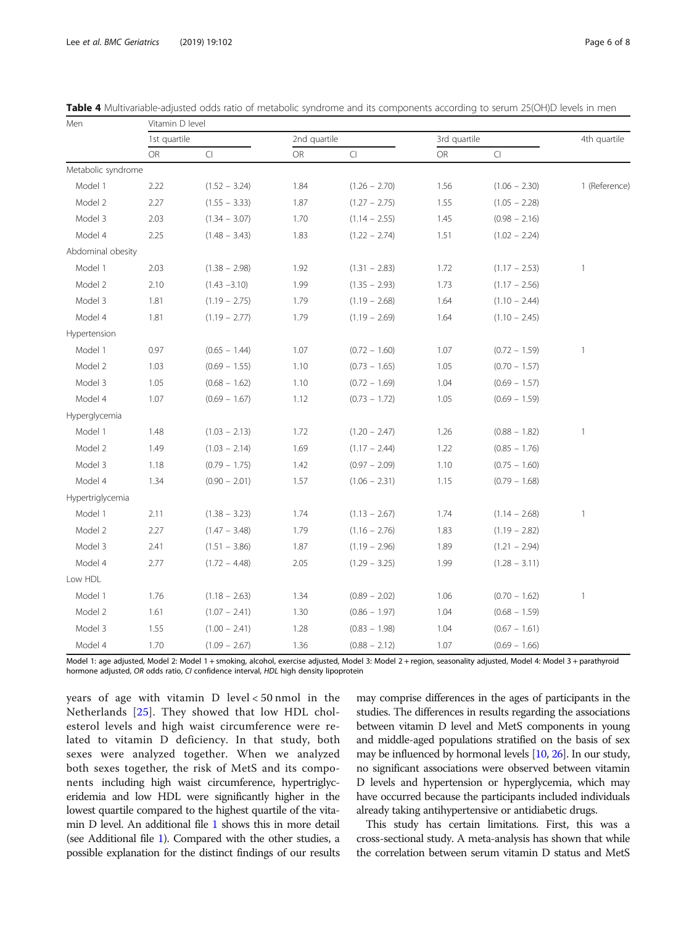Men Vitamin D level

| <b>INIGHT</b>      |      | MITTIIII DIENGI                   |           |                 |      |                      |               |  |  |
|--------------------|------|-----------------------------------|-----------|-----------------|------|----------------------|---------------|--|--|
|                    |      | 1st quartile                      |           | 2nd quartile    |      | 3rd quartile         |               |  |  |
|                    | OR   | $\mathop{\text{\rm Cl}}\nolimits$ | <b>OR</b> | $\Box$          | OR   | $\mathop{\text{Cl}}$ |               |  |  |
| Metabolic syndrome |      |                                   |           |                 |      |                      |               |  |  |
| Model 1            | 2.22 | $(1.52 - 3.24)$                   | 1.84      | $(1.26 - 2.70)$ | 1.56 | $(1.06 - 2.30)$      | 1 (Reference) |  |  |
| Model 2            | 2.27 | $(1.55 - 3.33)$                   | 1.87      | $(1.27 - 2.75)$ | 1.55 | $(1.05 - 2.28)$      |               |  |  |
| Model 3            | 2.03 | $(1.34 - 3.07)$                   | 1.70      | $(1.14 - 2.55)$ | 1.45 | $(0.98 - 2.16)$      |               |  |  |
| Model 4            | 2.25 | $(1.48 - 3.43)$                   | 1.83      | $(1.22 - 2.74)$ | 1.51 | $(1.02 - 2.24)$      |               |  |  |
| Abdominal obesity  |      |                                   |           |                 |      |                      |               |  |  |
| Model 1            | 2.03 | $(1.38 - 2.98)$                   | 1.92      | $(1.31 - 2.83)$ | 1.72 | $(1.17 - 2.53)$      | 1             |  |  |
| Model 2            | 2.10 | $(1.43 - 3.10)$                   | 1.99      | $(1.35 - 2.93)$ | 1.73 | $(1.17 - 2.56)$      |               |  |  |
| Model 3            | 1.81 | $(1.19 - 2.75)$                   | 1.79      | $(1.19 - 2.68)$ | 1.64 | $(1.10 - 2.44)$      |               |  |  |
| Model 4            | 1.81 | $(1.19 - 2.77)$                   | 1.79      | $(1.19 - 2.69)$ | 1.64 | $(1.10 - 2.45)$      |               |  |  |
| Hypertension       |      |                                   |           |                 |      |                      |               |  |  |
| Model 1            | 0.97 | $(0.65 - 1.44)$                   | 1.07      | $(0.72 - 1.60)$ | 1.07 | $(0.72 - 1.59)$      | 1             |  |  |
| Model 2            | 1.03 | $(0.69 - 1.55)$                   | 1.10      | $(0.73 - 1.65)$ | 1.05 | $(0.70 - 1.57)$      |               |  |  |
| Model 3            | 1.05 | $(0.68 - 1.62)$                   | 1.10      | $(0.72 - 1.69)$ | 1.04 | $(0.69 - 1.57)$      |               |  |  |
| Model 4            | 1.07 | $(0.69 - 1.67)$                   | 1.12      | $(0.73 - 1.72)$ | 1.05 | $(0.69 - 1.59)$      |               |  |  |
| Hyperglycemia      |      |                                   |           |                 |      |                      |               |  |  |
| Model 1            | 1.48 | $(1.03 - 2.13)$                   | 1.72      | $(1.20 - 2.47)$ | 1.26 | $(0.88 - 1.82)$      | 1             |  |  |
| Model 2            | 1.49 | $(1.03 - 2.14)$                   | 1.69      | $(1.17 - 2.44)$ | 1.22 | $(0.85 - 1.76)$      |               |  |  |
| Model 3            | 1.18 | $(0.79 - 1.75)$                   | 1.42      | $(0.97 - 2.09)$ | 1.10 | $(0.75 - 1.60)$      |               |  |  |
| Model 4            | 1.34 | $(0.90 - 2.01)$                   | 1.57      | $(1.06 - 2.31)$ | 1.15 | $(0.79 - 1.68)$      |               |  |  |
| Hypertriglycemia   |      |                                   |           |                 |      |                      |               |  |  |
| Model 1            | 2.11 | $(1.38 - 3.23)$                   | 1.74      | $(1.13 - 2.67)$ | 1.74 | $(1.14 - 2.68)$      | 1             |  |  |
| Model 2            | 2.27 | $(1.47 - 3.48)$                   | 1.79      | $(1.16 - 2.76)$ | 1.83 | $(1.19 - 2.82)$      |               |  |  |
| Model 3            | 2.41 | $(1.51 - 3.86)$                   | 1.87      | $(1.19 - 2.96)$ | 1.89 | $(1.21 - 2.94)$      |               |  |  |
| Model 4            | 2.77 | $(1.72 - 4.48)$                   | 2.05      | $(1.29 - 3.25)$ | 1.99 | $(1.28 - 3.11)$      |               |  |  |
| Low HDL            |      |                                   |           |                 |      |                      |               |  |  |
| Model 1            | 1.76 | $(1.18 - 2.63)$                   | 1.34      | $(0.89 - 2.02)$ | 1.06 | $(0.70 - 1.62)$      | 1             |  |  |
| Model 2            | 1.61 | $(1.07 - 2.41)$                   | 1.30      | $(0.86 - 1.97)$ | 1.04 | $(0.68 - 1.59)$      |               |  |  |
| Model 3            | 1.55 | $(1.00 - 2.41)$                   | 1.28      | $(0.83 - 1.98)$ | 1.04 | $(0.67 - 1.61)$      |               |  |  |
| Model 4            | 1.70 | $(1.09 - 2.67)$                   | 1.36      | $(0.88 - 2.12)$ | 1.07 | $(0.69 - 1.66)$      |               |  |  |

<span id="page-5-0"></span>Table 4 Multivariable-adjusted odds ratio of metabolic syndrome and its components according to serum 25(OH)D levels in men

Model 1: age adjusted, Model 2: Model 1 + smoking, alcohol, exercise adjusted, Model 3: Model 2 + region, seasonality adjusted, Model 4: Model 3 + parathyroid hormone adjusted, OR odds ratio, CI confidence interval, HDL high density lipoprotein

years of age with vitamin D level < 50 nmol in the Netherlands [[25](#page-7-0)]. They showed that low HDL cholesterol levels and high waist circumference were related to vitamin D deficiency. In that study, both sexes were analyzed together. When we analyzed both sexes together, the risk of MetS and its components including high waist circumference, hypertriglyceridemia and low HDL were significantly higher in the lowest quartile compared to the highest quartile of the vitamin D level. An additional file [1](#page-7-0) shows this in more detail (see Additional file [1\)](#page-7-0). Compared with the other studies, a possible explanation for the distinct findings of our results may comprise differences in the ages of participants in the studies. The differences in results regarding the associations between vitamin D level and MetS components in young and middle-aged populations stratified on the basis of sex may be influenced by hormonal levels [[10](#page-7-0), [26](#page-7-0)]. In our study, no significant associations were observed between vitamin D levels and hypertension or hyperglycemia, which may have occurred because the participants included individuals already taking antihypertensive or antidiabetic drugs.

This study has certain limitations. First, this was a cross-sectional study. A meta-analysis has shown that while the correlation between serum vitamin D status and MetS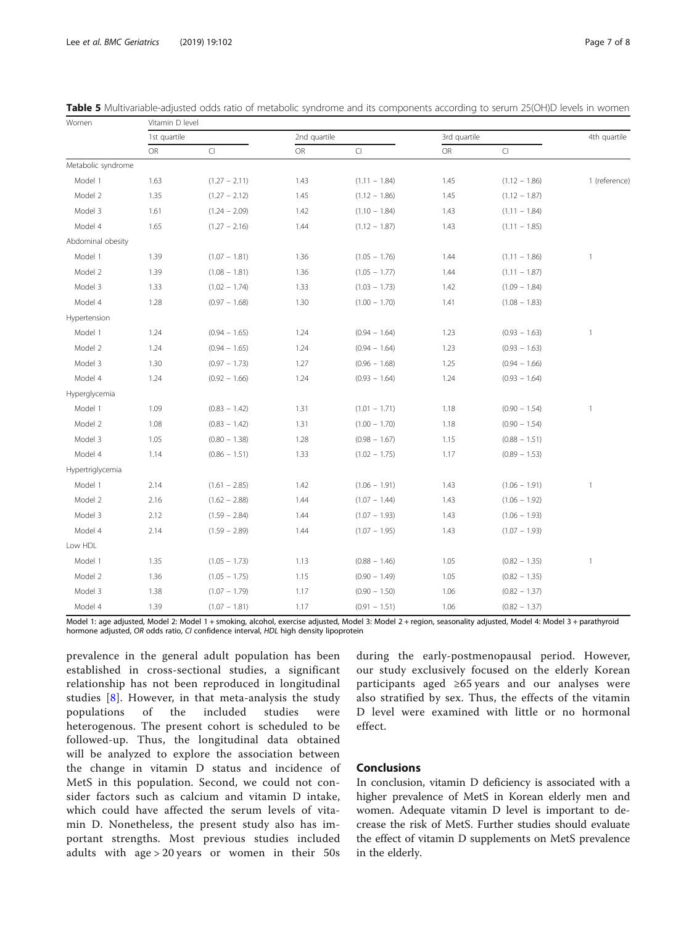Women Vitamin D level

| 111111             |      |                        |      |                 |      |                        |               |
|--------------------|------|------------------------|------|-----------------|------|------------------------|---------------|
|                    |      | 1st quartile           |      | 2nd quartile    |      | 3rd quartile           |               |
|                    | OR   | $\mathsf{C}\mathsf{I}$ | OR   | $\subset$       | OR   | $\mathsf{C}\mathsf{I}$ |               |
| Metabolic syndrome |      |                        |      |                 |      |                        |               |
| Model 1            | 1.63 | $(1.27 - 2.11)$        | 1.43 | $(1.11 - 1.84)$ | 1.45 | $(1.12 - 1.86)$        | 1 (reference) |
| Model 2            | 1.35 | $(1.27 - 2.12)$        | 1.45 | $(1.12 - 1.86)$ | 1.45 | $(1.12 - 1.87)$        |               |
| Model 3            | 1.61 | $(1.24 - 2.09)$        | 1.42 | $(1.10 - 1.84)$ | 1.43 | $(1.11 - 1.84)$        |               |
| Model 4            | 1.65 | $(1.27 - 2.16)$        | 1.44 | $(1.12 - 1.87)$ | 1.43 | $(1.11 - 1.85)$        |               |
| Abdominal obesity  |      |                        |      |                 |      |                        |               |
| Model 1            | 1.39 | $(1.07 - 1.81)$        | 1.36 | $(1.05 - 1.76)$ | 1.44 | $(1.11 - 1.86)$        | $\mathbf{1}$  |
| Model 2            | 1.39 | $(1.08 - 1.81)$        | 1.36 | $(1.05 - 1.77)$ | 1.44 | $(1.11 - 1.87)$        |               |
| Model 3            | 1.33 | $(1.02 - 1.74)$        | 1.33 | $(1.03 - 1.73)$ | 1.42 | $(1.09 - 1.84)$        |               |
| Model 4            | 1.28 | $(0.97 - 1.68)$        | 1.30 | $(1.00 - 1.70)$ | 1.41 | $(1.08 - 1.83)$        |               |
| Hypertension       |      |                        |      |                 |      |                        |               |
| Model 1            | 1.24 | $(0.94 - 1.65)$        | 1.24 | $(0.94 - 1.64)$ | 1.23 | $(0.93 - 1.63)$        | 1             |
| Model 2            | 1.24 | $(0.94 - 1.65)$        | 1.24 | $(0.94 - 1.64)$ | 1.23 | $(0.93 - 1.63)$        |               |
| Model 3            | 1.30 | $(0.97 - 1.73)$        | 1.27 | $(0.96 - 1.68)$ | 1.25 | $(0.94 - 1.66)$        |               |
| Model 4            | 1.24 | $(0.92 - 1.66)$        | 1.24 | $(0.93 - 1.64)$ | 1.24 | $(0.93 - 1.64)$        |               |
| Hyperglycemia      |      |                        |      |                 |      |                        |               |
| Model 1            | 1.09 | $(0.83 - 1.42)$        | 1.31 | $(1.01 - 1.71)$ | 1.18 | $(0.90 - 1.54)$        | $\mathbf{1}$  |
| Model 2            | 1.08 | $(0.83 - 1.42)$        | 1.31 | $(1.00 - 1.70)$ | 1.18 | $(0.90 - 1.54)$        |               |
| Model 3            | 1.05 | $(0.80 - 1.38)$        | 1.28 | $(0.98 - 1.67)$ | 1.15 | $(0.88 - 1.51)$        |               |
| Model 4            | 1.14 | $(0.86 - 1.51)$        | 1.33 | $(1.02 - 1.75)$ | 1.17 | $(0.89 - 1.53)$        |               |
| Hypertriglycemia   |      |                        |      |                 |      |                        |               |
| Model 1            | 2.14 | $(1.61 - 2.85)$        | 1.42 | $(1.06 - 1.91)$ | 1.43 | $(1.06 - 1.91)$        | $\mathbf{1}$  |
| Model 2            | 2.16 | $(1.62 - 2.88)$        | 1.44 | $(1.07 - 1.44)$ | 1.43 | $(1.06 - 1.92)$        |               |
| Model 3            | 2.12 | $(1.59 - 2.84)$        | 1.44 | $(1.07 - 1.93)$ | 1.43 | $(1.06 - 1.93)$        |               |
| Model 4            | 2.14 | $(1.59 - 2.89)$        | 1.44 | $(1.07 - 1.95)$ | 1.43 | $(1.07 - 1.93)$        |               |
| Low HDL            |      |                        |      |                 |      |                        |               |
| Model 1            | 1.35 | $(1.05 - 1.73)$        | 1.13 | $(0.88 - 1.46)$ | 1.05 | $(0.82 - 1.35)$        | $\mathbf{1}$  |
| Model 2            | 1.36 | $(1.05 - 1.75)$        | 1.15 | $(0.90 - 1.49)$ | 1.05 | $(0.82 - 1.35)$        |               |
| Model 3            | 1.38 | $(1.07 - 1.79)$        | 1.17 | $(0.90 - 1.50)$ | 1.06 | $(0.82 - 1.37)$        |               |
| Model 4            | 1.39 | $(1.07 - 1.81)$        | 1.17 | $(0.91 - 1.51)$ | 1.06 | $(0.82 - 1.37)$        |               |

<span id="page-6-0"></span>

| Table 5 Multivariable-adjusted odds ratio of metabolic syndrome and its components according to serum 25(OH)D levels in womer |  |
|-------------------------------------------------------------------------------------------------------------------------------|--|
|-------------------------------------------------------------------------------------------------------------------------------|--|

Model 1: age adjusted, Model 2: Model 1 + smoking, alcohol, exercise adjusted, Model 3: Model 2 + region, seasonality adjusted, Model 4: Model 3 + parathyroid hormone adjusted, OR odds ratio, CI confidence interval, HDL high density lipoprotein

prevalence in the general adult population has been established in cross-sectional studies, a significant relationship has not been reproduced in longitudinal studies [[8](#page-7-0)]. However, in that meta-analysis the study populations of the included studies were heterogenous. The present cohort is scheduled to be followed-up. Thus, the longitudinal data obtained will be analyzed to explore the association between the change in vitamin D status and incidence of MetS in this population. Second, we could not consider factors such as calcium and vitamin D intake, which could have affected the serum levels of vitamin D. Nonetheless, the present study also has important strengths. Most previous studies included adults with age > 20 years or women in their 50s

during the early-postmenopausal period. However, our study exclusively focused on the elderly Korean participants aged ≥65 years and our analyses were also stratified by sex. Thus, the effects of the vitamin D level were examined with little or no hormonal effect.

# Conclusions

In conclusion, vitamin D deficiency is associated with a higher prevalence of MetS in Korean elderly men and women. Adequate vitamin D level is important to decrease the risk of MetS. Further studies should evaluate the effect of vitamin D supplements on MetS prevalence in the elderly.